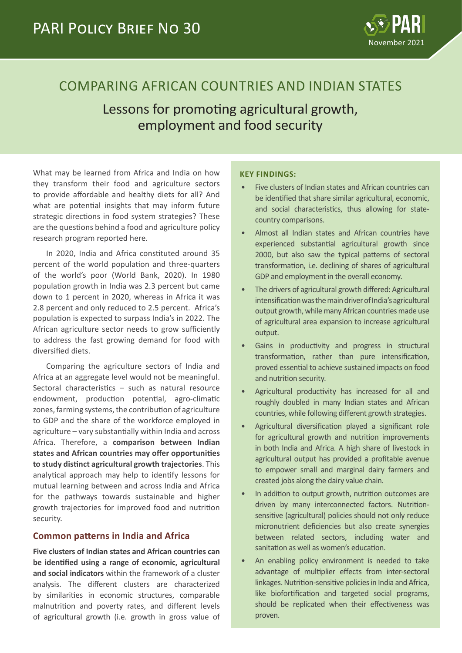

# COMPARING AFRICAN COUNTRIES AND INDIAN STATES

Lessons for promoting agricultural growth, employment and food security

What may be learned from Africa and India on how they transform their food and agriculture sectors to provide affordable and healthy diets for all? And what are potential insights that may inform future strategic directions in food system strategies? These are the questions behind a food and agriculture policy research program reported here.

In 2020, India and Africa constituted around 35 percent of the world population and three-quarters of the world's poor (World Bank, 2020). In 1980 population growth in India was 2.3 percent but came down to 1 percent in 2020, whereas in Africa it was 2.8 percent and only reduced to 2.5 percent. Africa's population is expected to surpass India's in 2022. The African agriculture sector needs to grow sufficiently to address the fast growing demand for food with diversified diets.

Comparing the agriculture sectors of India and Africa at an aggregate level would not be meaningful. Sectoral characteristics – such as natural resource endowment, production potential, agro-climatic zones, farming systems, the contribution of agriculture to GDP and the share of the workforce employed in agriculture – vary substantially within India and across Africa. Therefore, a **comparison between Indian states and African countries may offer opportunities to study distinct agricultural growth trajectories**. This analytical approach may help to identify lessons for mutual learning between and across India and Africa for the pathways towards sustainable and higher growth trajectories for improved food and nutrition security.

# **Common patterns in India and Africa**

**Five clusters of Indian states and African countries can be identified using a range of economic, agricultural and social indicators** within the framework of a cluster analysis. The different clusters are characterized by similarities in economic structures, comparable malnutrition and poverty rates, and different levels of agricultural growth (i.e. growth in gross value of

#### **KEY FINDINGS:**

- Five clusters of Indian states and African countries can be identified that share similar agricultural, economic, and social characteristics, thus allowing for statecountry comparisons.
- Almost all Indian states and African countries have experienced substantial agricultural growth since 2000, but also saw the typical patterns of sectoral transformation, i.e. declining of shares of agricultural GDP and employment in the overall economy.
- The drivers of agricultural growth differed: Agricultural intensification was the main driver of India's agricultural output growth, while many African countries made use of agricultural area expansion to increase agricultural output.
- Gains in productivity and progress in structural transformation, rather than pure intensification, proved essential to achieve sustained impacts on food and nutrition security.
- Agricultural productivity has increased for all and roughly doubled in many Indian states and African countries, while following different growth strategies.
- Agricultural diversification played a significant role for agricultural growth and nutrition improvements in both India and Africa. A high share of livestock in agricultural output has provided a profitable avenue to empower small and marginal dairy farmers and created jobs along the dairy value chain.
- In addition to output growth, nutrition outcomes are driven by many interconnected factors. Nutritionsensitive (agricultural) policies should not only reduce micronutrient deficiencies but also create synergies between related sectors, including water and sanitation as well as women's education.
- An enabling policy environment is needed to take advantage of multiplier effects from inter-sectoral linkages. Nutrition-sensitive policies in India and Africa, like biofortification and targeted social programs, should be replicated when their effectiveness was proven.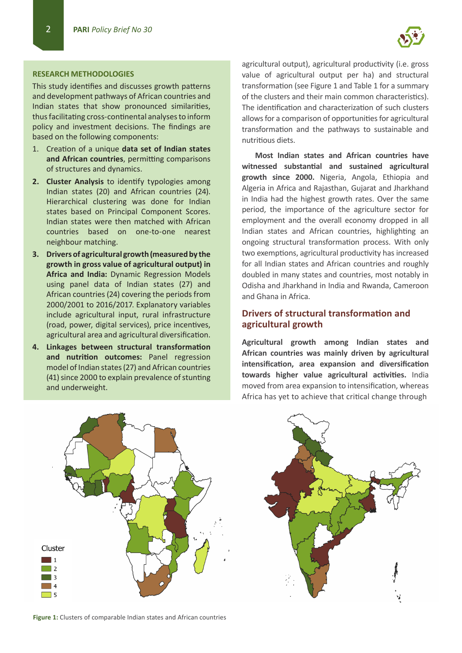#### **RESEARCH METHODOLOGIES**

This study identifies and discusses growth patterns and development pathways of African countries and Indian states that show pronounced similarities, thus facilitating cross-continental analyses to inform policy and investment decisions. The findings are based on the following components:

- 1. Creation of a unique **data set of Indian states and African countries**, permitting comparisons of structures and dynamics.
- **2. Cluster Analysis** to identify typologies among Indian states (20) and African countries (24). Hierarchical clustering was done for Indian states based on Principal Component Scores. Indian states were then matched with African countries based on one-to-one nearest neighbour matching.
- **3. Drivers of agricultural growth (measured by the growth in gross value of agricultural output) in Africa and India:** Dynamic Regression Models using panel data of Indian states (27) and African countries (24) covering the periods from 2000/2001 to 2016/2017. Explanatory variables include agricultural input, rural infrastructure (road, power, digital services), price incentives, agricultural area and agricultural diversification.
- **4. Linkages between structural transformation and nutrition outcomes:** Panel regression model of Indian states (27) and African countries (41) since 2000 to explain prevalence of stunting and underweight.

agricultural output), agricultural productivity (i.e. gross value of agricultural output per ha) and structural transformation (see Figure 1 and Table 1 for a summary of the clusters and their main common characteristics). The identification and characterization of such clusters allows for a comparison of opportunities for agricultural transformation and the pathways to sustainable and nutritious diets.

**Most Indian states and African countries have witnessed substantial and sustained agricultural growth since 2000.** Nigeria, Angola, Ethiopia and Algeria in Africa and Rajasthan, Gujarat and Jharkhand in India had the highest growth rates. Over the same period, the importance of the agriculture sector for employment and the overall economy dropped in all Indian states and African countries, highlighting an ongoing structural transformation process. With only two exemptions, agricultural productivity has increased for all Indian states and African countries and roughly doubled in many states and countries, most notably in Odisha and Jharkhand in India and Rwanda, Cameroon and Ghana in Africa.

#### **Drivers of structural transformation and agricultural growth**

**Agricultural growth among Indian states and African countries was mainly driven by agricultural intensification, area expansion and diversification towards higher value agricultural activities.** India moved from area expansion to intensification, whereas Africa has yet to achieve that critical change through



**Figure 1:** Clusters of comparable Indian states and African countries

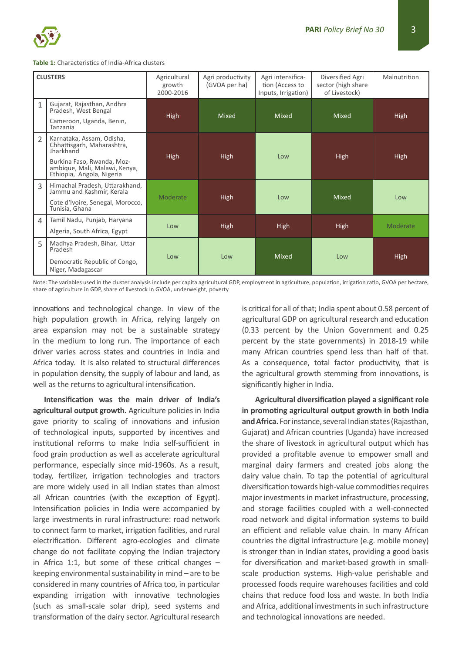

#### **Table 1:** Characteristics of India-Africa clusters

| <b>CLUSTERS</b>          |                                                                                                                                                                  | Agricultural<br>growth<br>2000-2016 | Agri productivity<br>(GVOA per ha) | Agri intensifica-<br>tion (Access to<br>Inputs, Irrigation) | Diversified Agri<br>sector (high share<br>of Livestock) | Malnutrition |
|--------------------------|------------------------------------------------------------------------------------------------------------------------------------------------------------------|-------------------------------------|------------------------------------|-------------------------------------------------------------|---------------------------------------------------------|--------------|
| 1                        | Gujarat, Rajasthan, Andhra<br>Pradesh, West Bengal<br>Cameroon, Uganda, Benin,<br>Tanzania                                                                       | High                                | <b>Mixed</b>                       | <b>Mixed</b>                                                | <b>Mixed</b>                                            | <b>High</b>  |
| $\overline{\phantom{a}}$ | Karnataka, Assam, Odisha,<br>Chhattisgarh, Maharashtra,<br>Jharkhand<br>Burkina Faso, Rwanda, Moz-<br>ambique, Mali, Malawi, Kenya,<br>Ethiopia, Angola, Nigeria | High                                | High                               | Low                                                         | High                                                    | <b>High</b>  |
| 3                        | Himachal Pradesh, Uttarakhand,<br>Jammu and Kashmir, Kerala<br>Cote d'Ivoire, Senegal, Morocco,<br>Tunisia, Ghana                                                | Moderate                            | High                               | Low                                                         | <b>Mixed</b>                                            | Low          |
| 4                        | Tamil Nadu, Punjab, Haryana<br>Algeria, South Africa, Egypt                                                                                                      | Low                                 | <b>High</b>                        | <b>High</b>                                                 | <b>High</b>                                             | Moderate     |
| 5                        | Madhya Pradesh, Bihar, Uttar<br>Pradesh<br>Democratic Republic of Congo,<br>Niger, Madagascar                                                                    | Low                                 | Low                                | <b>Mixed</b>                                                | Low                                                     | <b>High</b>  |

Note: The variables used in the cluster analysis include per capita agricultural GDP, employment in agriculture, population, irrigation ratio, GVOA per hectare, share of agriculture in GDP, share of livestock In GVOA, underweight, poverty

innovations and technological change. In view of the high population growth in Africa, relying largely on area expansion may not be a sustainable strategy in the medium to long run. The importance of each driver varies across states and countries in India and Africa today. It is also related to structural differences in population density, the supply of labour and land, as well as the returns to agricultural intensification.

**Intensification was the main driver of India's agricultural output growth.** Agriculture policies in India gave priority to scaling of innovations and infusion of technological inputs, supported by incentives and institutional reforms to make India self-sufficient in food grain production as well as accelerate agricultural performance, especially since mid-1960s. As a result, today, fertilizer, irrigation technologies and tractors are more widely used in all Indian states than almost all African countries (with the exception of Egypt). Intensification policies in India were accompanied by large investments in rural infrastructure: road network to connect farm to market, irrigation facilities, and rural electrification. Different agro-ecologies and climate change do not facilitate copying the Indian trajectory in Africa 1:1, but some of these critical changes  $$ keeping environmental sustainability in mind – are to be considered in many countries of Africa too, in particular expanding irrigation with innovative technologies (such as small-scale solar drip), seed systems and transformation of the dairy sector. Agricultural research is critical for all of that; India spent about 0.58 percent of agricultural GDP on agricultural research and education (0.33 percent by the Union Government and 0.25 percent by the state governments) in 2018-19 while many African countries spend less than half of that. As a consequence, total factor productivity, that is the agricultural growth stemming from innovations, is significantly higher in India.

**Agricultural diversification played a significant role in promoting agricultural output growth in both India and Africa.** For instance, several Indian states (Rajasthan, Gujarat) and African countries (Uganda) have increased the share of livestock in agricultural output which has provided a profitable avenue to empower small and marginal dairy farmers and created jobs along the dairy value chain. To tap the potential of agricultural diversification towards high-value commodities requires major investments in market infrastructure, processing, and storage facilities coupled with a well-connected road network and digital information systems to build an efficient and reliable value chain. In many African countries the digital infrastructure (e.g. mobile money) is stronger than in Indian states, providing a good basis for diversification and market-based growth in smallscale production systems. High-value perishable and processed foods require warehouses facilities and cold chains that reduce food loss and waste. In both India and Africa, additional investments in such infrastructure and technological innovations are needed.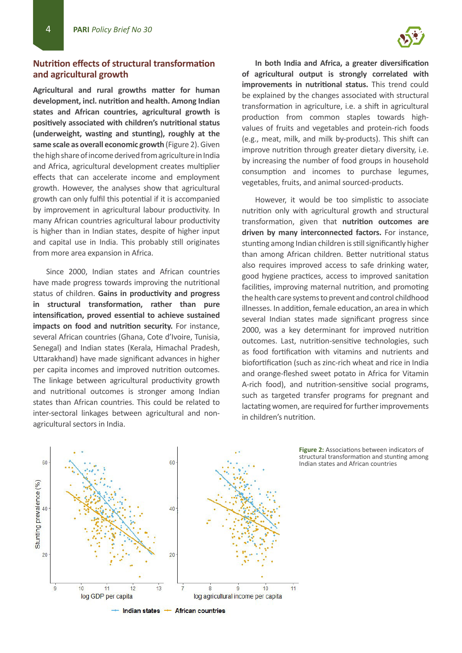# **Nutrition effects of structural transformation and agricultural growth**

**Agricultural and rural growths matter for human development, incl. nutrition and health. Among Indian states and African countries, agricultural growth is positively associated with children's nutritional status (underweight, wasting and stunting), roughly at the same scale as overall economic growth** (Figure 2). Given the high share of income derived from agriculture in India and Africa, agricultural development creates multiplier effects that can accelerate income and employment growth. However, the analyses show that agricultural growth can only fulfil this potential if it is accompanied by improvement in agricultural labour productivity. In many African countries agricultural labour productivity is higher than in Indian states, despite of higher input and capital use in India. This probably still originates from more area expansion in Africa.

Since 2000, Indian states and African countries have made progress towards improving the nutritional status of children. **Gains in productivity and progress in structural transformation, rather than pure intensification, proved essential to achieve sustained impacts on food and nutrition security.** For instance, several African countries (Ghana, Cote d'Ivoire, Tunisia, Senegal) and Indian states (Kerala, Himachal Pradesh, Uttarakhand) have made significant advances in higher per capita incomes and improved nutrition outcomes. The linkage between agricultural productivity growth and nutritional outcomes is stronger among Indian states than African countries. This could be related to inter-sectoral linkages between agricultural and nonagricultural sectors in India.

**In both India and Africa, a greater diversification of agricultural output is strongly correlated with improvements in nutritional status.** This trend could be explained by the changes associated with structural transformation in agriculture, i.e. a shift in agricultural production from common staples towards highvalues of fruits and vegetables and protein-rich foods (e.g., meat, milk, and milk by-products). This shift can improve nutrition through greater dietary diversity, i.e. by increasing the number of food groups in household consumption and incomes to purchase legumes, vegetables, fruits, and animal sourced-products.

However, it would be too simplistic to associate nutrition only with agricultural growth and structural transformation, given that **nutrition outcomes are driven by many interconnected factors.** For instance, stunting among Indian children is still significantly higher than among African children. Better nutritional status also requires improved access to safe drinking water, good hygiene practices, access to improved sanitation facilities, improving maternal nutrition, and promoting the health care systems to prevent and control childhood illnesses. In addition, female education, an area in which several Indian states made significant progress since 2000, was a key determinant for improved nutrition outcomes. Last, nutrition-sensitive technologies, such as food fortification with vitamins and nutrients and biofortification (such as zinc-rich wheat and rice in India and orange-fleshed sweet potato in Africa for Vitamin A-rich food), and nutrition-sensitive social programs, such as targeted transfer programs for pregnant and lactating women, are required for further improvements in children's nutrition.